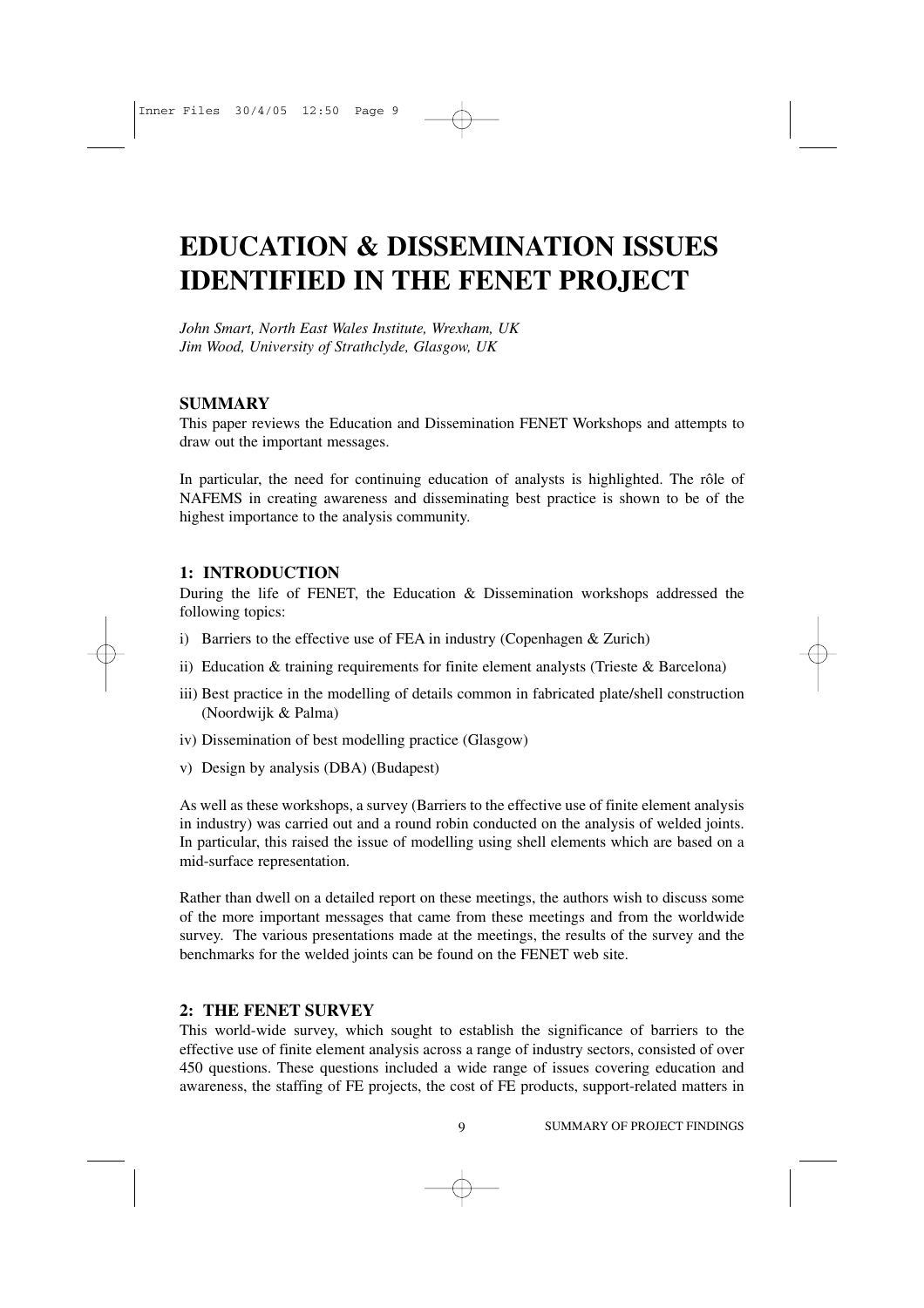# **EDUCATION & DISSEMINATION ISSUES IDENTIFIED IN THE FENET PROJECT**

*John Smart, North East Wales Institute, Wrexham, UK Jim Wood, University of Strathclyde, Glasgow, UK*

#### **SUMMARY**

This paper reviews the Education and Dissemination FENET Workshops and attempts to draw out the important messages.

In particular, the need for continuing education of analysts is highlighted. The rôle of NAFEMS in creating awareness and disseminating best practice is shown to be of the highest importance to the analysis community.

#### **1: INTRODUCTION**

During the life of FENET, the Education & Dissemination workshops addressed the following topics:

- i) Barriers to the effective use of FEA in industry (Copenhagen & Zurich)
- ii) Education  $\&$  training requirements for finite element analysts (Trieste  $\&$  Barcelona)
- iii) Best practice in the modelling of details common in fabricated plate/shell construction (Noordwijk & Palma)
- iv) Dissemination of best modelling practice (Glasgow)
- v) Design by analysis (DBA) (Budapest)

As well as these workshops, a survey (Barriers to the effective use of finite element analysis in industry) was carried out and a round robin conducted on the analysis of welded joints. In particular, this raised the issue of modelling using shell elements which are based on a mid-surface representation.

Rather than dwell on a detailed report on these meetings, the authors wish to discuss some of the more important messages that came from these meetings and from the worldwide survey. The various presentations made at the meetings, the results of the survey and the benchmarks for the welded joints can be found on the FENET web site.

#### **2: THE FENET SURVEY**

This world-wide survey, which sought to establish the significance of barriers to the effective use of finite element analysis across a range of industry sectors, consisted of over 450 questions. These questions included a wide range of issues covering education and awareness, the staffing of FE projects, the cost of FE products, support-related matters in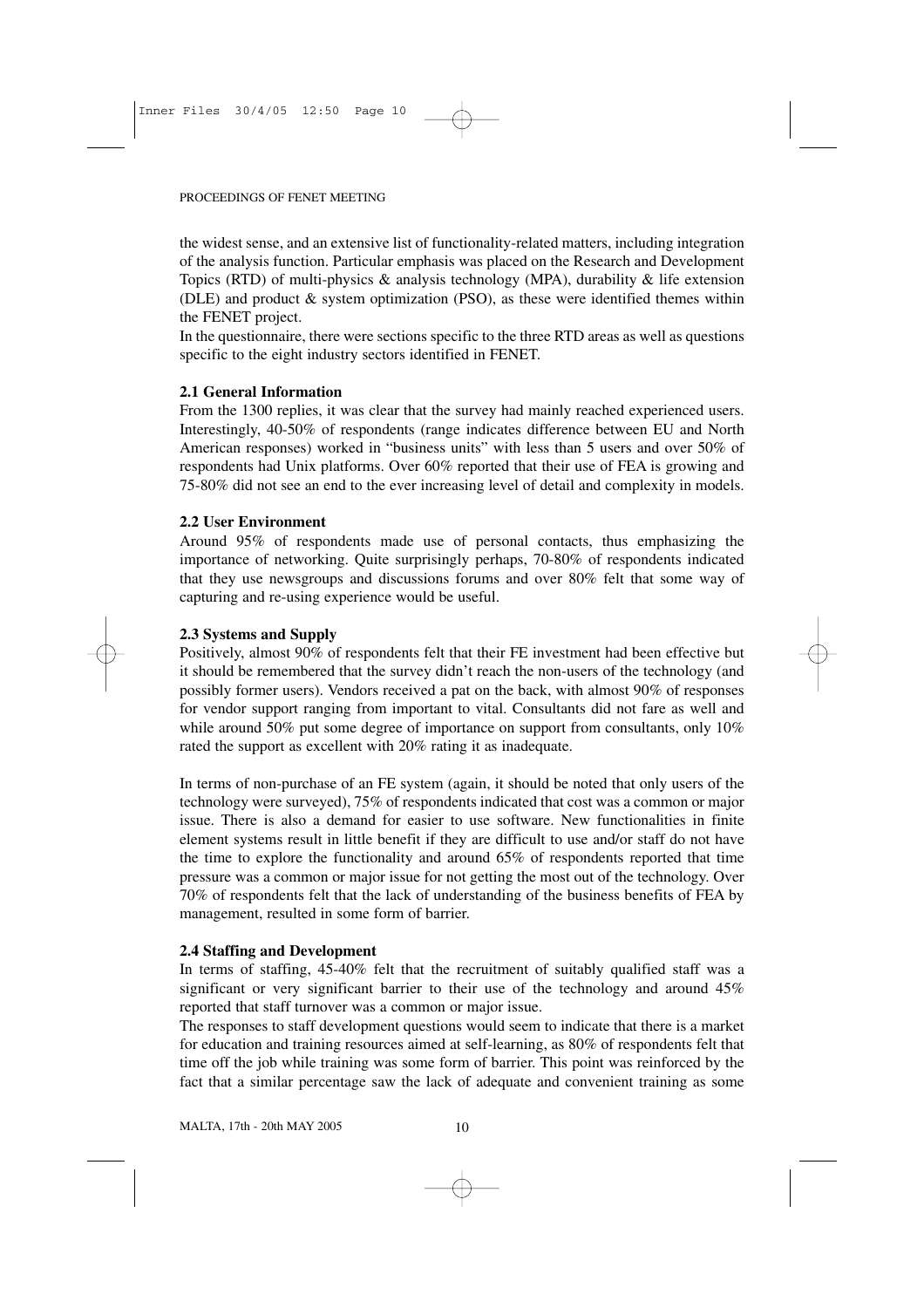the widest sense, and an extensive list of functionality-related matters, including integration of the analysis function. Particular emphasis was placed on the Research and Development Topics (RTD) of multi-physics & analysis technology (MPA), durability & life extension (DLE) and product & system optimization (PSO), as these were identified themes within the FENET project.

In the questionnaire, there were sections specific to the three RTD areas as well as questions specific to the eight industry sectors identified in FENET.

#### **2.1 General Information**

From the 1300 replies, it was clear that the survey had mainly reached experienced users. Interestingly, 40-50% of respondents (range indicates difference between EU and North American responses) worked in "business units" with less than 5 users and over 50% of respondents had Unix platforms. Over 60% reported that their use of FEA is growing and 75-80% did not see an end to the ever increasing level of detail and complexity in models.

#### **2.2 User Environment**

Around 95% of respondents made use of personal contacts, thus emphasizing the importance of networking. Quite surprisingly perhaps, 70-80% of respondents indicated that they use newsgroups and discussions forums and over 80% felt that some way of capturing and re-using experience would be useful.

#### **2.3 Systems and Supply**

Positively, almost 90% of respondents felt that their FE investment had been effective but it should be remembered that the survey didn't reach the non-users of the technology (and possibly former users). Vendors received a pat on the back, with almost 90% of responses for vendor support ranging from important to vital. Consultants did not fare as well and while around 50% put some degree of importance on support from consultants, only 10% rated the support as excellent with 20% rating it as inadequate.

In terms of non-purchase of an FE system (again, it should be noted that only users of the technology were surveyed), 75% of respondents indicated that cost was a common or major issue. There is also a demand for easier to use software. New functionalities in finite element systems result in little benefit if they are difficult to use and/or staff do not have the time to explore the functionality and around 65% of respondents reported that time pressure was a common or major issue for not getting the most out of the technology. Over 70% of respondents felt that the lack of understanding of the business benefits of FEA by management, resulted in some form of barrier.

#### **2.4 Staffing and Development**

In terms of staffing, 45-40% felt that the recruitment of suitably qualified staff was a significant or very significant barrier to their use of the technology and around 45% reported that staff turnover was a common or major issue.

The responses to staff development questions would seem to indicate that there is a market for education and training resources aimed at self-learning, as 80% of respondents felt that time off the job while training was some form of barrier. This point was reinforced by the fact that a similar percentage saw the lack of adequate and convenient training as some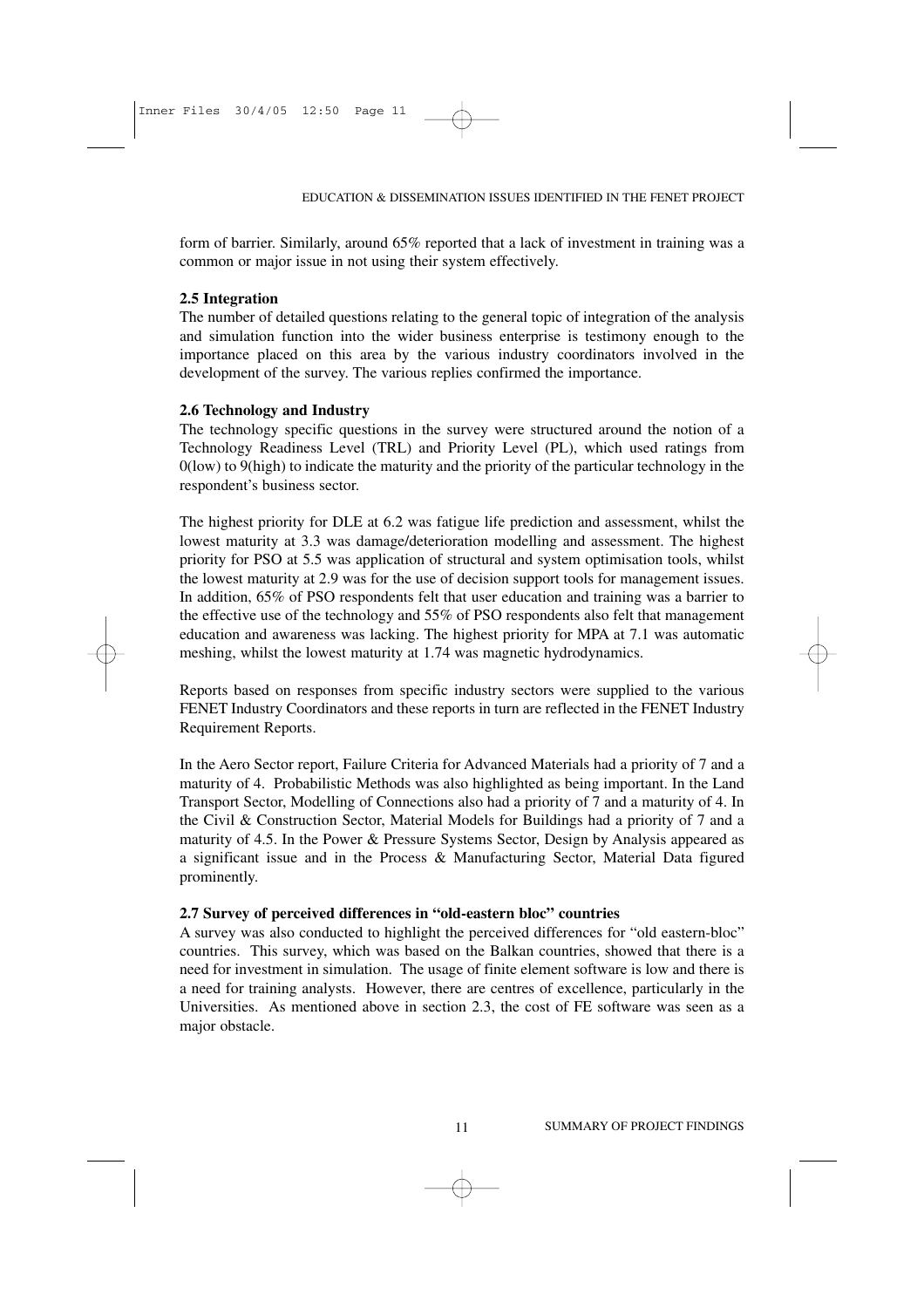form of barrier. Similarly, around 65% reported that a lack of investment in training was a common or major issue in not using their system effectively.

#### **2.5 Integration**

The number of detailed questions relating to the general topic of integration of the analysis and simulation function into the wider business enterprise is testimony enough to the importance placed on this area by the various industry coordinators involved in the development of the survey. The various replies confirmed the importance.

#### **2.6 Technology and Industry**

The technology specific questions in the survey were structured around the notion of a Technology Readiness Level (TRL) and Priority Level (PL), which used ratings from 0(low) to 9(high) to indicate the maturity and the priority of the particular technology in the respondent's business sector.

The highest priority for DLE at 6.2 was fatigue life prediction and assessment, whilst the lowest maturity at 3.3 was damage/deterioration modelling and assessment. The highest priority for PSO at 5.5 was application of structural and system optimisation tools, whilst the lowest maturity at 2.9 was for the use of decision support tools for management issues. In addition, 65% of PSO respondents felt that user education and training was a barrier to the effective use of the technology and 55% of PSO respondents also felt that management education and awareness was lacking. The highest priority for MPA at 7.1 was automatic meshing, whilst the lowest maturity at 1.74 was magnetic hydrodynamics.

Reports based on responses from specific industry sectors were supplied to the various FENET Industry Coordinators and these reports in turn are reflected in the FENET Industry Requirement Reports.

In the Aero Sector report, Failure Criteria for Advanced Materials had a priority of 7 and a maturity of 4. Probabilistic Methods was also highlighted as being important. In the Land Transport Sector, Modelling of Connections also had a priority of 7 and a maturity of 4. In the Civil & Construction Sector, Material Models for Buildings had a priority of 7 and a maturity of 4.5. In the Power & Pressure Systems Sector, Design by Analysis appeared as a significant issue and in the Process & Manufacturing Sector, Material Data figured prominently.

#### **2.7 Survey of perceived differences in "old-eastern bloc" countries**

A survey was also conducted to highlight the perceived differences for "old eastern-bloc" countries. This survey, which was based on the Balkan countries, showed that there is a need for investment in simulation. The usage of finite element software is low and there is a need for training analysts. However, there are centres of excellence, particularly in the Universities. As mentioned above in section 2.3, the cost of FE software was seen as a major obstacle.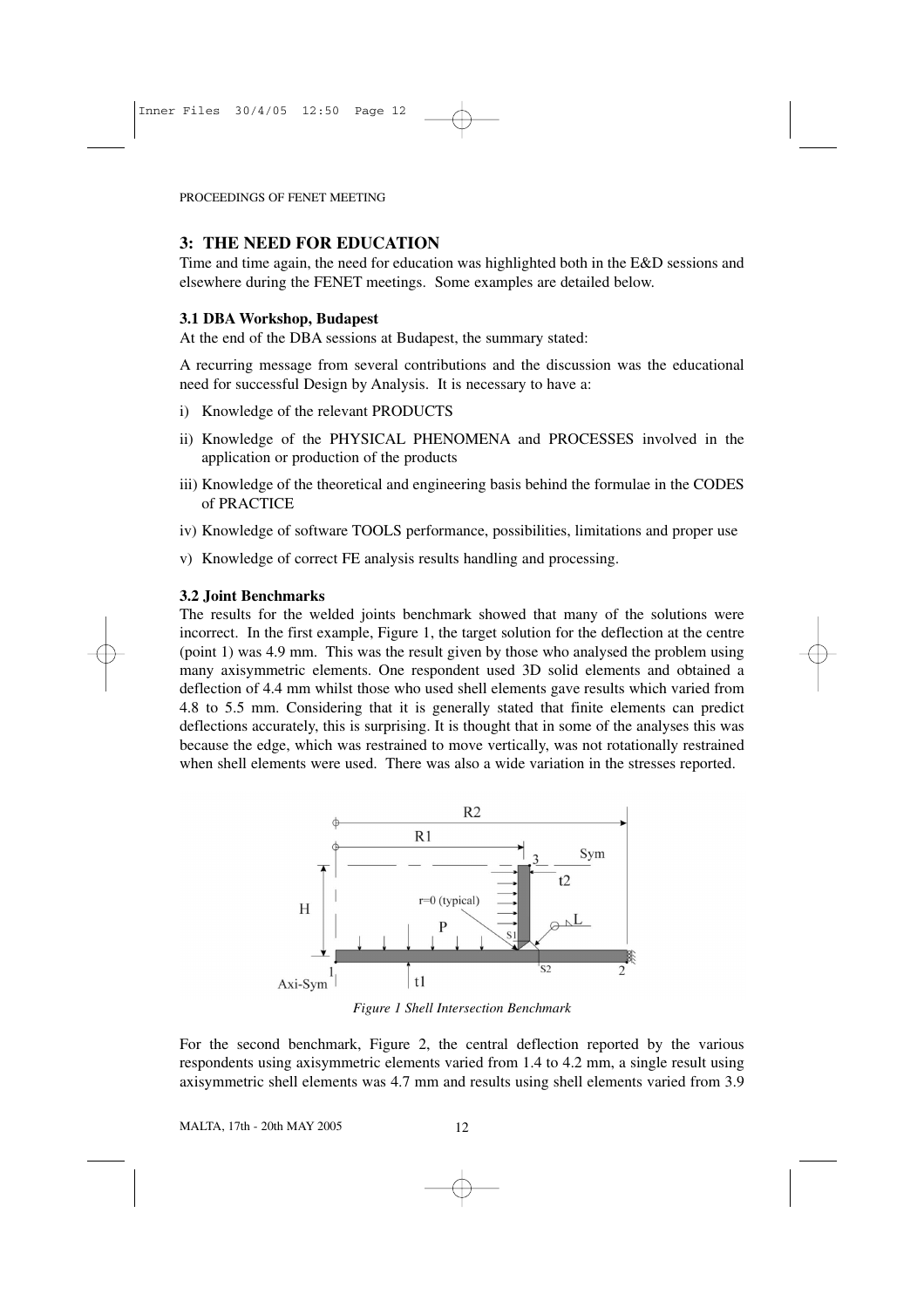# **3: THE NEED FOR EDUCATION**

Time and time again, the need for education was highlighted both in the E&D sessions and elsewhere during the FENET meetings. Some examples are detailed below.

# **3.1 DBA Workshop, Budapest**

At the end of the DBA sessions at Budapest, the summary stated:

A recurring message from several contributions and the discussion was the educational need for successful Design by Analysis. It is necessary to have a:

- i) Knowledge of the relevant PRODUCTS
- ii) Knowledge of the PHYSICAL PHENOMENA and PROCESSES involved in the application or production of the products
- iii) Knowledge of the theoretical and engineering basis behind the formulae in the CODES of PRACTICE
- iv) Knowledge of software TOOLS performance, possibilities, limitations and proper use
- v) Knowledge of correct FE analysis results handling and processing.

# **3.2 Joint Benchmarks**

The results for the welded joints benchmark showed that many of the solutions were incorrect. In the first example, Figure 1, the target solution for the deflection at the centre (point 1) was 4.9 mm. This was the result given by those who analysed the problem using many axisymmetric elements. One respondent used 3D solid elements and obtained a deflection of 4.4 mm whilst those who used shell elements gave results which varied from 4.8 to 5.5 mm. Considering that it is generally stated that finite elements can predict deflections accurately, this is surprising. It is thought that in some of the analyses this was because the edge, which was restrained to move vertically, was not rotationally restrained when shell elements were used. There was also a wide variation in the stresses reported.



*Figure 1 Shell Intersection Benchmark*

For the second benchmark, Figure 2, the central deflection reported by the various respondents using axisymmetric elements varied from 1.4 to 4.2 mm, a single result using axisymmetric shell elements was 4.7 mm and results using shell elements varied from 3.9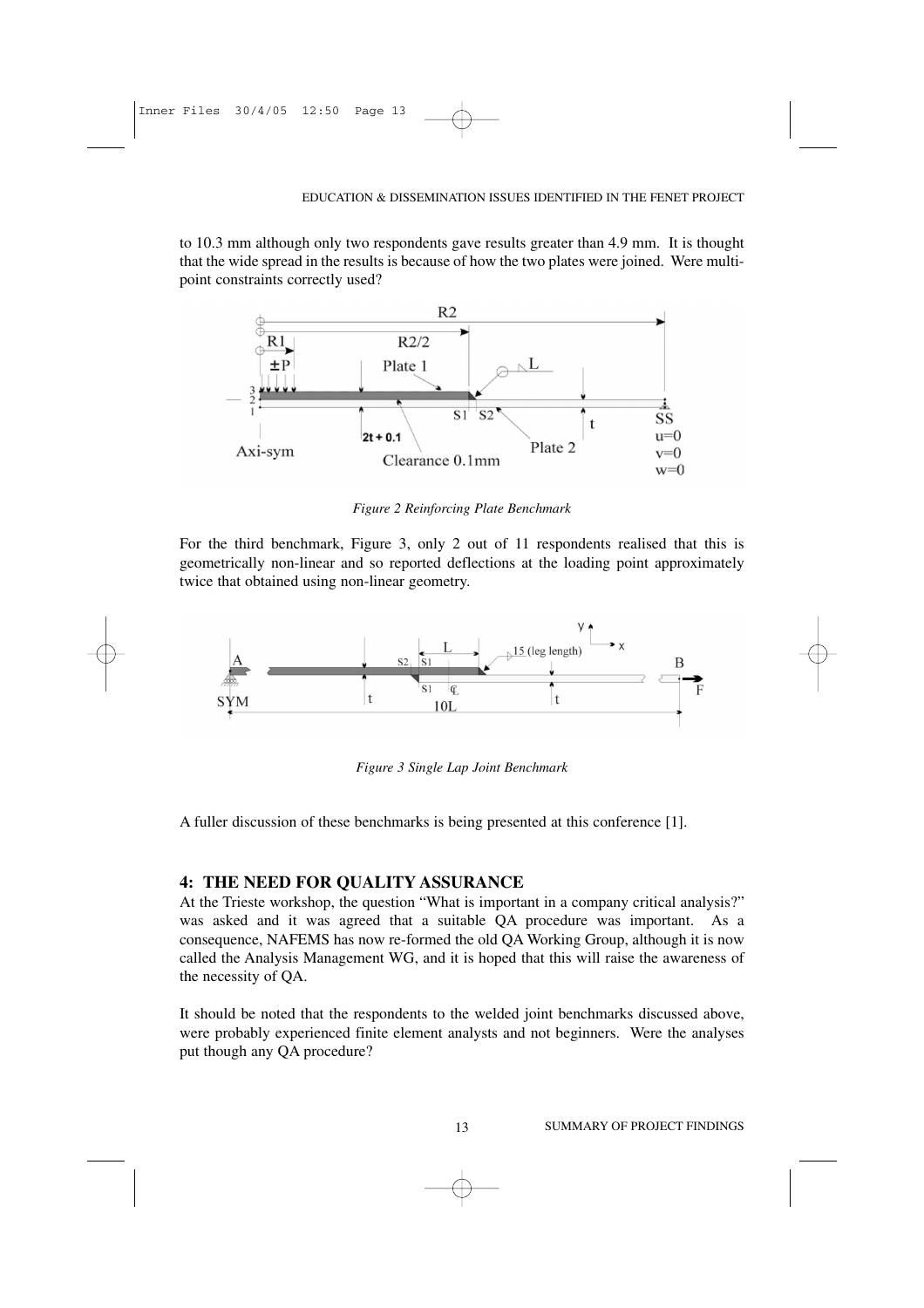to 10.3 mm although only two respondents gave results greater than 4.9 mm. It is thought that the wide spread in the results is because of how the two plates were joined. Were multipoint constraints correctly used?



*Figure 2 Reinforcing Plate Benchmark*

For the third benchmark, Figure 3, only 2 out of 11 respondents realised that this is geometrically non-linear and so reported deflections at the loading point approximately twice that obtained using non-linear geometry.



*Figure 3 Single Lap Joint Benchmark*

A fuller discussion of these benchmarks is being presented at this conference [1].

#### **4: THE NEED FOR QUALITY ASSURANCE**

At the Trieste workshop, the question "What is important in a company critical analysis?" was asked and it was agreed that a suitable QA procedure was important. As a consequence, NAFEMS has now re-formed the old QA Working Group, although it is now called the Analysis Management WG, and it is hoped that this will raise the awareness of the necessity of QA.

It should be noted that the respondents to the welded joint benchmarks discussed above, were probably experienced finite element analysts and not beginners. Were the analyses put though any QA procedure?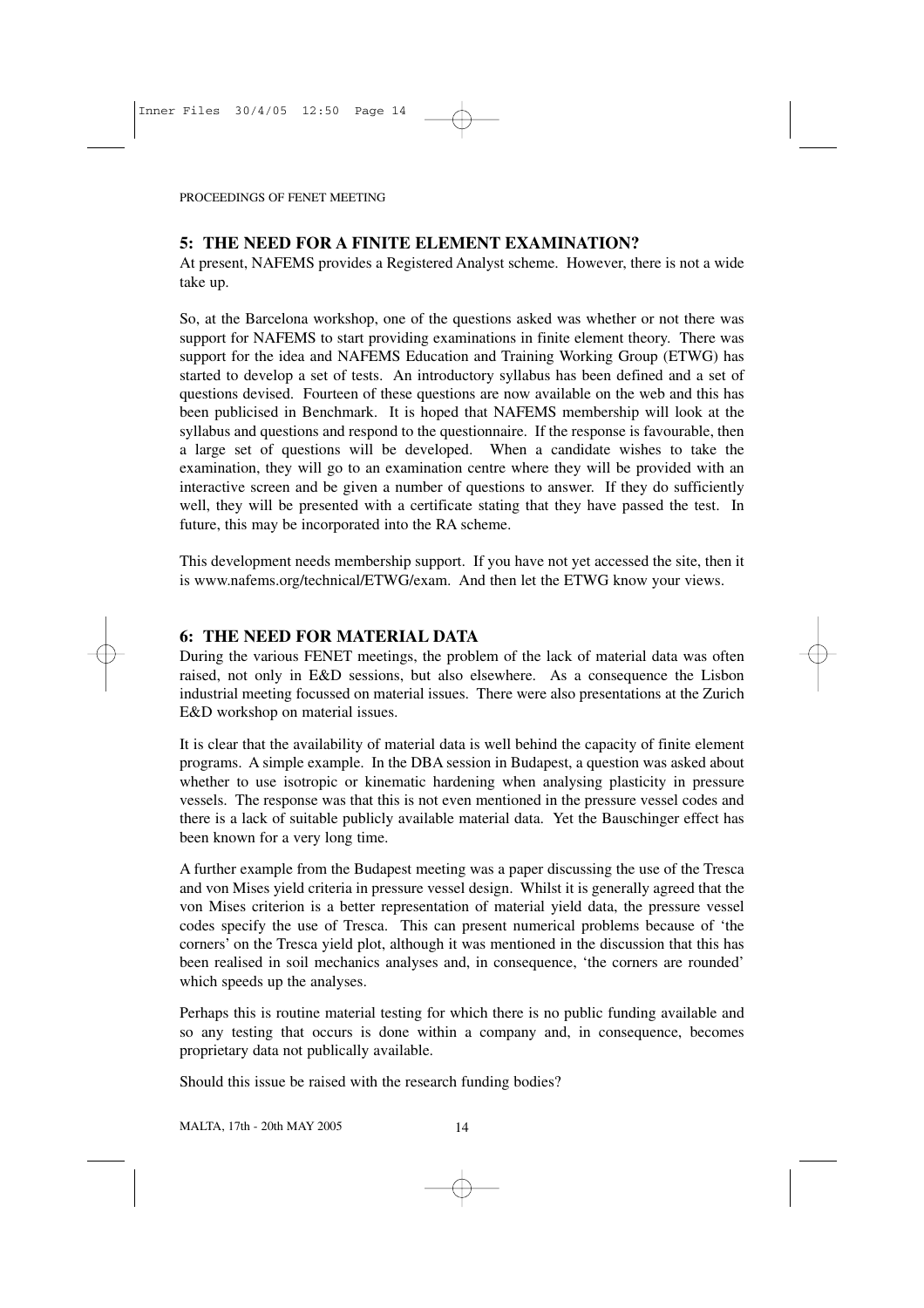## **5: THE NEED FOR A FINITE ELEMENT EXAMINATION?**

At present, NAFEMS provides a Registered Analyst scheme. However, there is not a wide take up.

So, at the Barcelona workshop, one of the questions asked was whether or not there was support for NAFEMS to start providing examinations in finite element theory. There was support for the idea and NAFEMS Education and Training Working Group (ETWG) has started to develop a set of tests. An introductory syllabus has been defined and a set of questions devised. Fourteen of these questions are now available on the web and this has been publicised in Benchmark. It is hoped that NAFEMS membership will look at the syllabus and questions and respond to the questionnaire. If the response is favourable, then a large set of questions will be developed. When a candidate wishes to take the examination, they will go to an examination centre where they will be provided with an interactive screen and be given a number of questions to answer. If they do sufficiently well, they will be presented with a certificate stating that they have passed the test. In future, this may be incorporated into the RA scheme.

This development needs membership support. If you have not yet accessed the site, then it is www.nafems.org/technical/ETWG/exam. And then let the ETWG know your views.

## **6: THE NEED FOR MATERIAL DATA**

During the various FENET meetings, the problem of the lack of material data was often raised, not only in E&D sessions, but also elsewhere. As a consequence the Lisbon industrial meeting focussed on material issues. There were also presentations at the Zurich E&D workshop on material issues.

It is clear that the availability of material data is well behind the capacity of finite element programs. A simple example. In the DBA session in Budapest, a question was asked about whether to use isotropic or kinematic hardening when analysing plasticity in pressure vessels. The response was that this is not even mentioned in the pressure vessel codes and there is a lack of suitable publicly available material data. Yet the Bauschinger effect has been known for a very long time.

A further example from the Budapest meeting was a paper discussing the use of the Tresca and von Mises yield criteria in pressure vessel design. Whilst it is generally agreed that the von Mises criterion is a better representation of material yield data, the pressure vessel codes specify the use of Tresca. This can present numerical problems because of 'the corners' on the Tresca yield plot, although it was mentioned in the discussion that this has been realised in soil mechanics analyses and, in consequence, 'the corners are rounded' which speeds up the analyses.

Perhaps this is routine material testing for which there is no public funding available and so any testing that occurs is done within a company and, in consequence, becomes proprietary data not publically available.

Should this issue be raised with the research funding bodies?